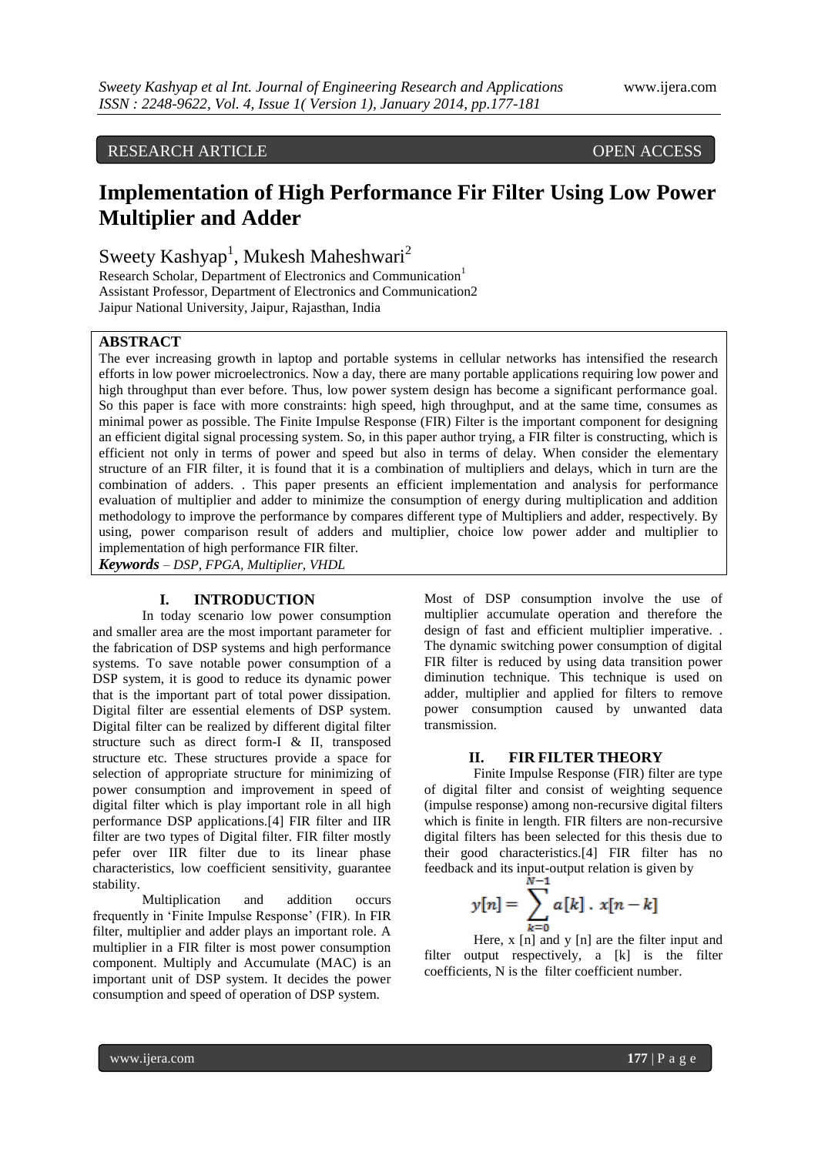# RESEARCH ARTICLE OPEN ACCESS

# **Implementation of High Performance Fir Filter Using Low Power Multiplier and Adder**

Sweety Kashyap<sup>1</sup>, Mukesh Maheshwari<sup>2</sup>

Research Scholar, Department of Electronics and Communication<sup>1</sup> Assistant Professor, Department of Electronics and Communication2 Jaipur National University, Jaipur, Rajasthan, India

## **ABSTRACT**

The ever increasing growth in laptop and portable systems in cellular networks has intensified the research efforts in low power microelectronics. Now a day, there are many portable applications requiring low power and high throughput than ever before. Thus, low power system design has become a significant performance goal. So this paper is face with more constraints: high speed, high throughput, and at the same time, consumes as minimal power as possible. The Finite Impulse Response (FIR) Filter is the important component for designing an efficient digital signal processing system. So, in this paper author trying, a FIR filter is constructing, which is efficient not only in terms of power and speed but also in terms of delay. When consider the elementary structure of an FIR filter, it is found that it is a combination of multipliers and delays, which in turn are the combination of adders. . This paper presents an efficient implementation and analysis for performance evaluation of multiplier and adder to minimize the consumption of energy during multiplication and addition methodology to improve the performance by compares different type of Multipliers and adder, respectively. By using, power comparison result of adders and multiplier, choice low power adder and multiplier to implementation of high performance FIR filter.

*Keywords – DSP, FPGA, Multiplier, VHDL*

# **I. INTRODUCTION**

In today scenario low power consumption and smaller area are the most important parameter for the fabrication of DSP systems and high performance systems. To save notable power consumption of a DSP system, it is good to reduce its dynamic power that is the important part of total power dissipation. Digital filter are essential elements of DSP system. Digital filter can be realized by different digital filter structure such as direct form-I & II, transposed structure etc. These structures provide a space for selection of appropriate structure for minimizing of power consumption and improvement in speed of digital filter which is play important role in all high performance DSP applications.[4] FIR filter and IIR filter are two types of Digital filter. FIR filter mostly pefer over IIR filter due to its linear phase characteristics, low coefficient sensitivity, guarantee stability.

Multiplication and addition occurs frequently in "Finite Impulse Response" (FIR). In FIR filter, multiplier and adder plays an important role. A multiplier in a FIR filter is most power consumption component. Multiply and Accumulate (MAC) is an important unit of DSP system. It decides the power consumption and speed of operation of DSP system.

Most of DSP consumption involve the use of multiplier accumulate operation and therefore the design of fast and efficient multiplier imperative. . The dynamic switching power consumption of digital FIR filter is reduced by using data transition power diminution technique. This technique is used on adder, multiplier and applied for filters to remove power consumption caused by unwanted data transmission.

#### **II. FIR FILTER THEORY**

Finite Impulse Response (FIR) filter are type of digital filter and consist of weighting sequence (impulse response) among non-recursive digital filters which is finite in length. FIR filters are non-recursive digital filters has been selected for this thesis due to their good characteristics.[4] FIR filter has no feedback and its input-output relation is given by

$$
y[n] = \sum_{k=0}^{N-1} a[k] \cdot x[n-k]
$$

Here, x [n] and y [n] are the filter input and filter output respectively, a [k] is the filter coefficients, N is the filter coefficient number.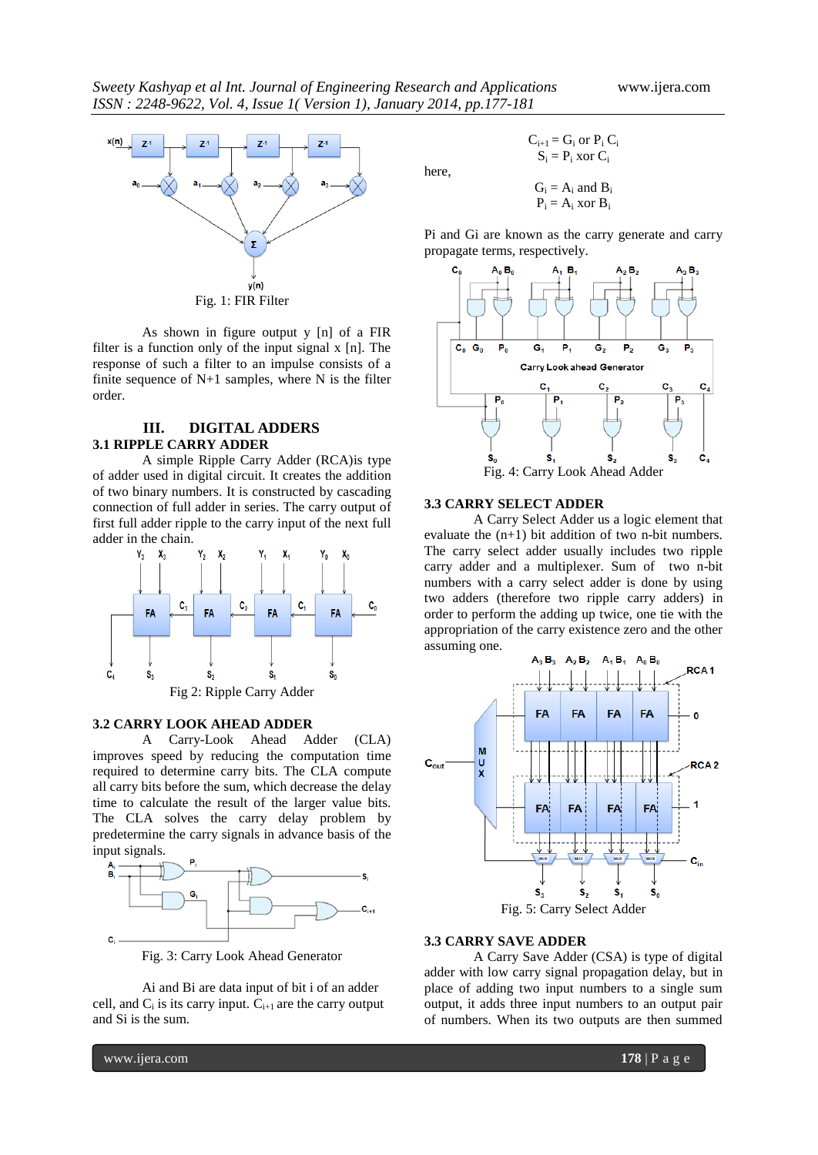

As shown in figure output y [n] of a FIR filter is a function only of the input signal x [n]. The response of such a filter to an impulse consists of a finite sequence of  $N+1$  samples, where N is the filter order.

# **III. DIGITAL ADDERS 3.1 RIPPLE CARRY ADDER**

A simple Ripple Carry Adder (RCA)is type of adder used in digital circuit. It creates the addition of two binary numbers. It is constructed by cascading connection of full adder in series. The carry output of first full adder ripple to the carry input of the next full adder in the chain.



#### **3.2 CARRY LOOK AHEAD ADDER**

A Carry-Look Ahead Adder (CLA) improves speed by reducing the computation time required to determine carry bits. The CLA compute all carry bits before the sum, which decrease the delay time to calculate the result of the larger value bits. The CLA solves the carry delay problem by predetermine the carry signals in advance basis of the input signals.



Fig. 3: Carry Look Ahead Generator

Ai and Bi are data input of bit i of an adder cell, and  $C_i$  is its carry input.  $C_{i+1}$  are the carry output and Si is the sum.

 $C_{i+1} = G_i$  or  $P_i C_i$  $S_i = P_i$  xor  $C_i$  $\pm$  B<sub>i</sub>

here,

$$
G_i = A_i
$$
 and  $B_i$   
 $P_i = A_i$  xor  $B_i$ 

Pi and Gi are known as the carry generate and carry propagate terms, respectively.



## **3.3 CARRY SELECT ADDER**

A Carry Select Adder us a logic element that evaluate the (n+1) bit addition of two n-bit numbers. The carry select adder usually includes two ripple carry adder and a multiplexer. Sum of two n-bit numbers with a carry select adder is done by using two adders (therefore two ripple carry adders) in order to perform the adding up twice, one tie with the appropriation of the carry existence zero and the other assuming one.



#### **3.3 CARRY SAVE ADDER**

A Carry Save Adder (CSA) is type of digital adder with low carry signal propagation delay, but in place of adding two input numbers to a single sum output, it adds three input numbers to an output pair of numbers. When its two outputs are then summed

www.ijera.com **178** | P a g e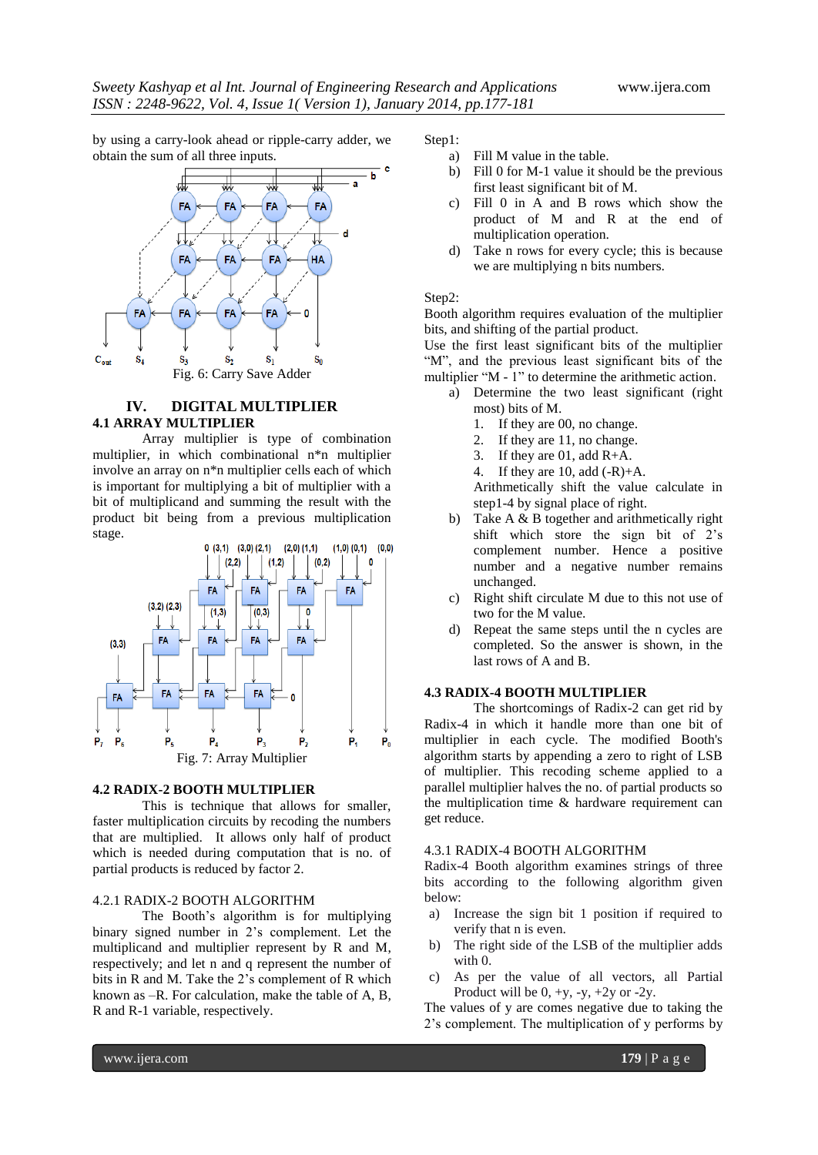by using a carry-look ahead or ripple-carry adder, we obtain the sum of all three inputs.



## **IV. DIGITAL MULTIPLIER 4.1 ARRAY MULTIPLIER**

Array multiplier is type of combination multiplier, in which combinational n\*n multiplier involve an array on n\*n multiplier cells each of which is important for multiplying a bit of multiplier with a bit of multiplicand and summing the result with the product bit being from a previous multiplication stage.



#### **4.2 RADIX-2 BOOTH MULTIPLIER**

This is technique that allows for smaller, faster multiplication circuits by recoding the numbers that are multiplied. It allows only half of product which is needed during computation that is no. of partial products is reduced by factor 2.

## 4.2.1 RADIX-2 BOOTH ALGORITHM

The Booth"s algorithm is for multiplying binary signed number in 2"s complement. Let the multiplicand and multiplier represent by R and M, respectively; and let n and q represent the number of bits in R and M. Take the 2's complement of R which known as –R. For calculation, make the table of A, B, R and R-1 variable, respectively.

Step1:

- a) Fill M value in the table.
- b) Fill 0 for M-1 value it should be the previous first least significant bit of M.
- c) Fill 0 in A and B rows which show the product of M and R at the end of multiplication operation.
- d) Take n rows for every cycle; this is because we are multiplying n bits numbers.

#### Step2:

Booth algorithm requires evaluation of the multiplier bits, and shifting of the partial product.

Use the first least significant bits of the multiplier "M", and the previous least significant bits of the multiplier "M - 1" to determine the arithmetic action.

- a) Determine the two least significant (right most) bits of M.
	- 1. If they are 00, no change.
	- 2. If they are 11, no change.
	- 3. If they are 01, add R+A.
	- 4. If they are 10, add  $(-R)+A$ .

Arithmetically shift the value calculate in step1-4 by signal place of right.

- b) Take A & B together and arithmetically right shift which store the sign bit of 2"s complement number. Hence a positive number and a negative number remains unchanged.
- c) Right shift circulate M due to this not use of two for the M value.
- d) Repeat the same steps until the n cycles are completed. So the answer is shown, in the last rows of A and B.

#### **4.3 RADIX-4 BOOTH MULTIPLIER**

The shortcomings of Radix-2 can get rid by Radix-4 in which it handle more than one bit of multiplier in each cycle. The modified Booth's algorithm starts by appending a zero to right of LSB of multiplier. This recoding scheme applied to a parallel multiplier halves the no. of partial products so the multiplication time & hardware requirement can get reduce.

#### 4.3.1 RADIX-4 BOOTH ALGORITHM

Radix-4 Booth algorithm examines strings of three bits according to the following algorithm given below:

- a) Increase the sign bit 1 position if required to verify that n is even.
- b) The right side of the LSB of the multiplier adds with 0.
- c) As per the value of all vectors, all Partial Product will be  $0, +y, -y, +2y$  or  $-2y$ .

The values of y are comes negative due to taking the 2"s complement. The multiplication of y performs by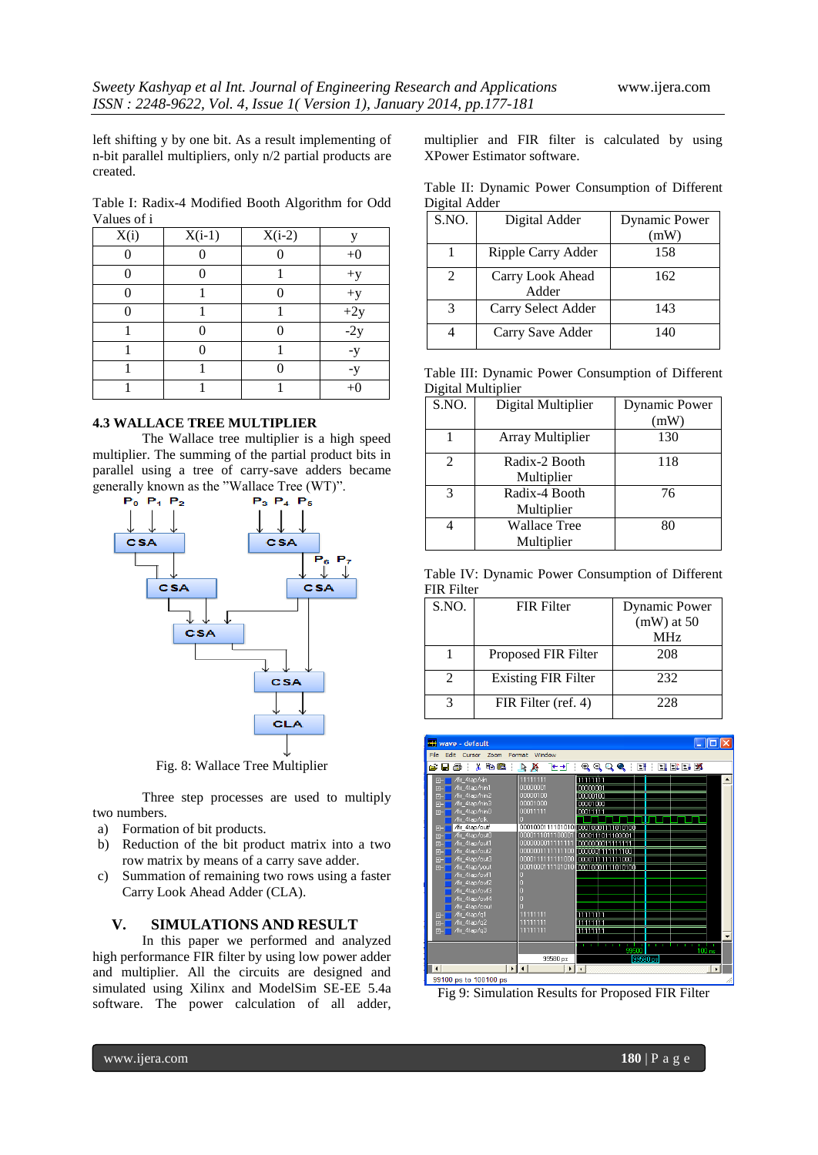left shifting y by one bit. As a result implementing of n-bit parallel multipliers, only n/2 partial products are created.

Table I: Radix-4 Modified Booth Algorithm for Odd Values of i

| X(i) | $X(i-1)$ | $X(i-2)$ | V                 |
|------|----------|----------|-------------------|
|      |          |          | $+0$              |
|      |          |          | $+y$              |
|      |          |          | $+y$              |
|      |          |          | $\frac{+2y}{-2y}$ |
|      |          |          |                   |
|      |          |          | -y                |
|      |          |          | -y                |
|      |          |          | $+$ $($           |

#### **4.3 WALLACE TREE MULTIPLIER**

The Wallace tree multiplier is a high speed multiplier. The summing of the partial product bits in parallel using a tree of carry-save adders became generally known as the "Wallace Tree (WT)".



Fig. 8: Wallace Tree Multiplier

Three step processes are used to multiply two numbers.

- a) Formation of bit products.
- b) Reduction of the bit product matrix into a two row matrix by means of a carry save adder.
- c) Summation of remaining two rows using a faster Carry Look Ahead Adder (CLA).

#### **V. SIMULATIONS AND RESULT**

In this paper we performed and analyzed high performance FIR filter by using low power adder and multiplier. All the circuits are designed and simulated using Xilinx and ModelSim SE-EE 5.4a software. The power calculation of all adder,

multiplier and FIR filter is calculated by using XPower Estimator software.

|               |  | Table II: Dynamic Power Consumption of Different |  |
|---------------|--|--------------------------------------------------|--|
| Digital Adder |  |                                                  |  |

| S.NO.          | Digital Adder             | <b>Dynamic Power</b> |
|----------------|---------------------------|----------------------|
|                |                           | (mW)                 |
|                | Ripple Carry Adder        | 158                  |
| $\mathfrak{D}$ | Carry Look Ahead<br>Adder | 162                  |
| $\mathcal{R}$  | Carry Select Adder        | 143                  |
|                | Carry Save Adder          | 140                  |

|                    |  | Table III: Dynamic Power Consumption of Different |  |
|--------------------|--|---------------------------------------------------|--|
| Digital Multiplier |  |                                                   |  |

| S.NO.          | Digital Multiplier  | <b>Dynamic Power</b> |
|----------------|---------------------|----------------------|
|                |                     | (mW)                 |
|                | Array Multiplier    | 130                  |
| $\overline{2}$ | Radix-2 Booth       | 118                  |
|                | Multiplier          |                      |
| 3              | Radix-4 Booth       | 76                   |
|                | Multiplier          |                      |
|                | <b>Wallace Tree</b> | 80                   |
|                | Multiplier          |                      |

Table IV: Dynamic Power Consumption of Different FIR Filter

| S.NO. | <b>FIR Filter</b>          | <b>Dynamic Power</b> |
|-------|----------------------------|----------------------|
|       |                            | $(mW)$ at 50         |
|       |                            | MH <sub>z</sub>      |
|       | Proposed FIR Filter        | 208                  |
| 2     | <b>Existing FIR Filter</b> | 232                  |
|       | FIR Filter (ref. 4)        | 228                  |



Fig 9: Simulation Results for Proposed FIR Filter